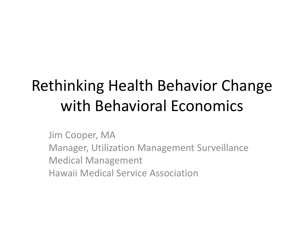#### Rethinking Health Behavior Change with Behavioral Economics

Jim Cooper, MA Manager, Utilization Management Surveillance Medical Management Hawaii Medical Service Association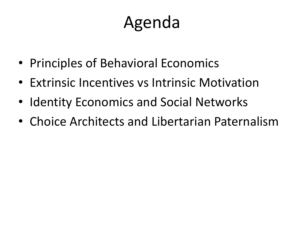### Agenda

- Principles of Behavioral Economics
- Extrinsic Incentives vs Intrinsic Motivation
- Identity Economics and Social Networks
- Choice Architects and Libertarian Paternalism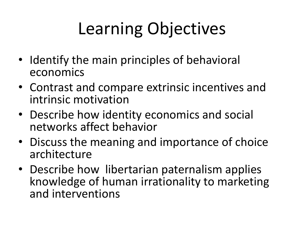# Learning Objectives

- Identify the main principles of behavioral economics
- Contrast and compare extrinsic incentives and intrinsic motivation
- Describe how identity economics and social networks affect behavior
- Discuss the meaning and importance of choice architecture
- Describe how libertarian paternalism applies knowledge of human irrationality to marketing and interventions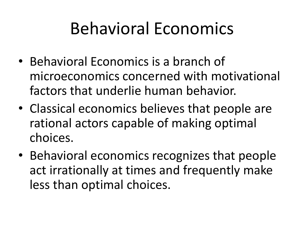### Behavioral Economics

- Behavioral Economics is a branch of microeconomics concerned with motivational factors that underlie human behavior.
- Classical economics believes that people are rational actors capable of making optimal choices.
- Behavioral economics recognizes that people act irrationally at times and frequently make less than optimal choices.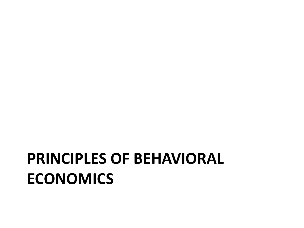#### **PRINCIPLES OF BEHAVIORAL ECONOMICS**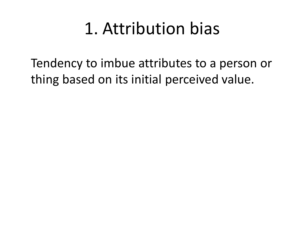### 1. Attribution bias

Tendency to imbue attributes to a person or thing based on its initial perceived value.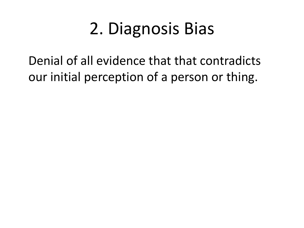# 2. Diagnosis Bias

Denial of all evidence that that contradicts our initial perception of a person or thing.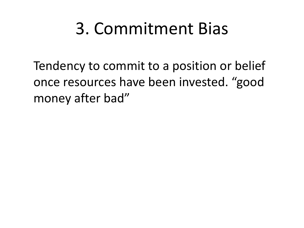### 3. Commitment Bias

Tendency to commit to a position or belief once resources have been invested. "good money after bad"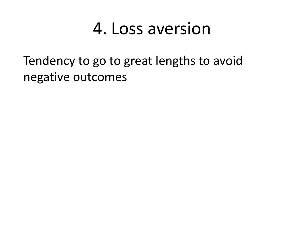#### 4. Loss aversion

Tendency to go to great lengths to avoid negative outcomes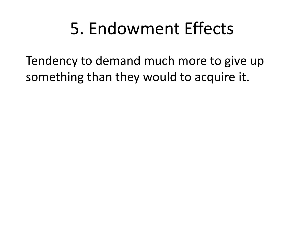### 5. Endowment Effects

Tendency to demand much more to give up something than they would to acquire it.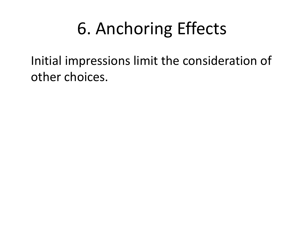# 6. Anchoring Effects

Initial impressions limit the consideration of other choices.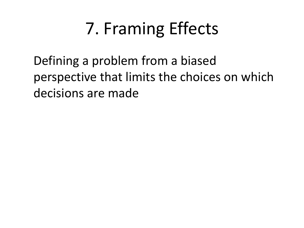# 7. Framing Effects

Defining a problem from a biased perspective that limits the choices on which decisions are made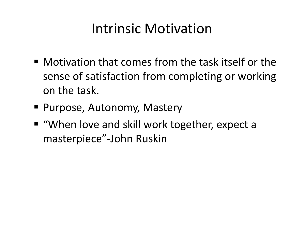#### Intrinsic Motivation

- Motivation that comes from the task itself or the sense of satisfaction from completing or working on the task.
- Purpose, Autonomy, Mastery
- "When love and skill work together, expect a masterpiece"-John Ruskin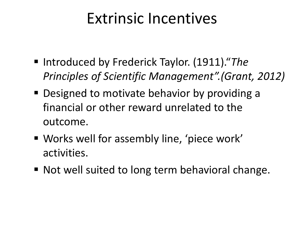#### Extrinsic Incentives

- Introduced by Frederick Taylor. (1911)."*The Principles of Scientific Management".(Grant, 2012)*
- **Designed to motivate behavior by providing a** financial or other reward unrelated to the outcome.
- Works well for assembly line, 'piece work' activities.
- Not well suited to long term behavioral change.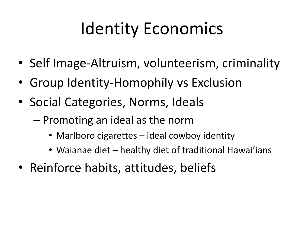# Identity Economics

- Self Image-Altruism, volunteerism, criminality
- Group Identity-Homophily vs Exclusion
- Social Categories, Norms, Ideals
	- Promoting an ideal as the norm
		- Marlboro cigarettes ideal cowboy identity
		- Waianae diet healthy diet of traditional Hawai'ians
- Reinforce habits, attitudes, beliefs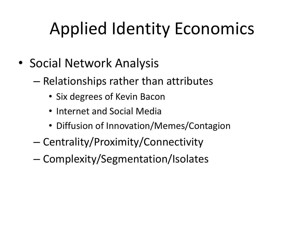# Applied Identity Economics

- Social Network Analysis
	- Relationships rather than attributes
		- Six degrees of Kevin Bacon
		- Internet and Social Media
		- Diffusion of Innovation/Memes/Contagion
	- Centrality/Proximity/Connectivity
	- Complexity/Segmentation/Isolates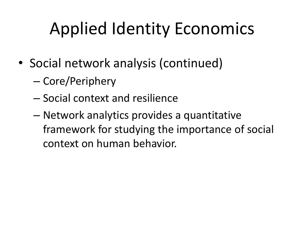# Applied Identity Economics

- Social network analysis (continued)
	- Core/Periphery
	- Social context and resilience
	- Network analytics provides a quantitative framework for studying the importance of social context on human behavior.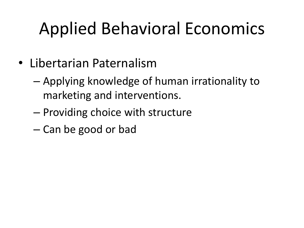# Applied Behavioral Economics

- Libertarian Paternalism
	- Applying knowledge of human irrationality to marketing and interventions.
	- Providing choice with structure
	- Can be good or bad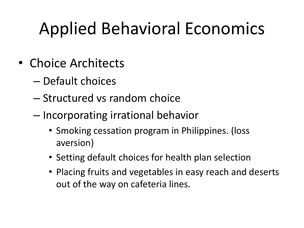# Applied Behavioral Economics

- Choice Architects
	- Default choices
	- Structured vs random choice
	- Incorporating irrational behavior
		- Smoking cessation program in Philippines. (loss aversion)
		- Setting default choices for health plan selection
		- Placing fruits and vegetables in easy reach and deserts out of the way on cafeteria lines.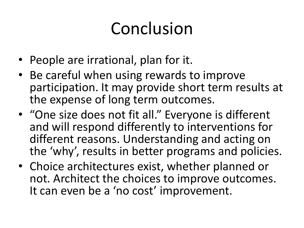# Conclusion

- People are irrational, plan for it.
- Be careful when using rewards to improve participation. It may provide short term results at the expense of long term outcomes.
- "One size does not fit all." Everyone is different and will respond differently to interventions for different reasons. Understanding and acting on the 'why', results in better programs and policies.
- Choice architectures exist, whether planned or not. Architect the choices to improve outcomes. It can even be a 'no cost' improvement.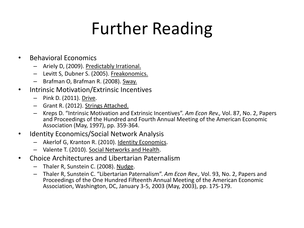### Further Reading

- Behavioral Economics
	- Ariely D, (2009). Predictably Irrational.
	- Levitt S, Dubner S. (2005). Freakonomics.
	- Brafman O, Brafman R. (2008). Sway.
- Intrinsic Motivation/Extrinsic Incentives
	- Pink D. (2011). Drive.
	- Grant R. (2012). Strings Attached.
	- Kreps D. "Intrinsic Motivation and Extrinsic Incentives". *Am Econ Rev.,* Vol. 87, No. 2, Papers and Proceedings of the Hundred and Fourth Annual Meeting of the American Economic Association (May, 1997), pp. 359-364.
- Identity Economics/Social Network Analysis
	- Akerlof G, Kranton R. (2010). Identity Economics.
	- Valente T. (2010). Social Networks and Health.
- Choice Architectures and Libertarian Paternalism
	- Thaler R, Sunstein C. (2008). Nudge.
	- Thaler R, Sunstein C. "Libertarian Paternalism". *Am Econ Rev.,* Vol. 93, No. 2, Papers and Proceedings of the One Hundred Fifteenth Annual Meeting of the American Economic Association, Washington, DC, January 3-5, 2003 (May, 2003), pp. 175-179.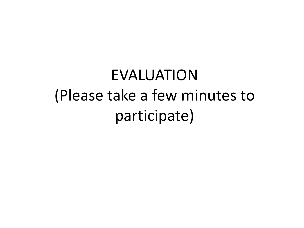EVALUATION (Please take a few minutes to participate)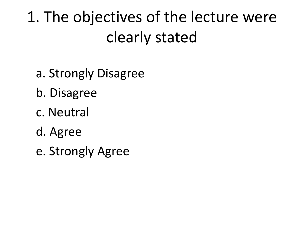1. The objectives of the lecture were clearly stated

- a. Strongly Disagree
- b. Disagree
- c. Neutral
- d. Agree
- e. Strongly Agree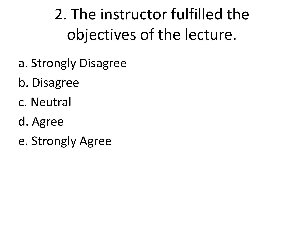2. The instructor fulfilled the objectives of the lecture.

- a. Strongly Disagree
- b. Disagree
- c. Neutral
- d. Agree
- e. Strongly Agree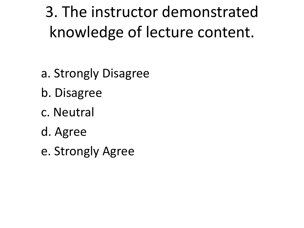3. The instructor demonstrated knowledge of lecture content.

- a. Strongly Disagree
- b. Disagree
- c. Neutral
- d. Agree
- e. Strongly Agree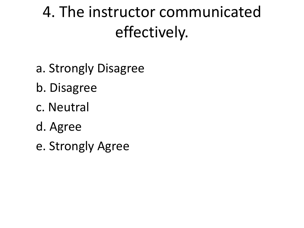### 4. The instructor communicated effectively.

- a. Strongly Disagree
- b. Disagree
- c. Neutral
- d. Agree
- e. Strongly Agree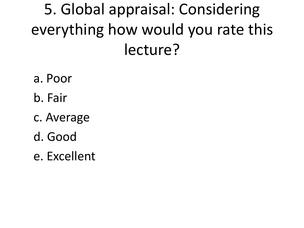### 5. Global appraisal: Considering everything how would you rate this lecture?

- a. Poor
- b. Fair
- c. Average
- d. Good
- e. Excellent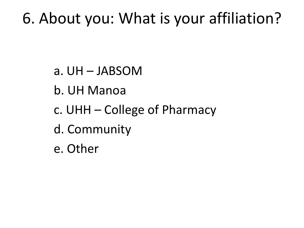#### 6. About you: What is your affiliation?

- a. UH JABSOM
- b. UH Manoa
- c. UHH College of Pharmacy
- d. Community
- e. Other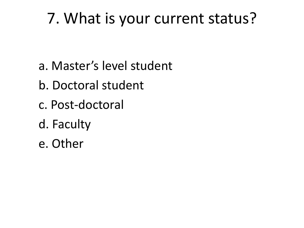#### 7. What is your current status?

- a. Master's level student
- b. Doctoral student
- c. Post-doctoral
- d. Faculty
- e. Other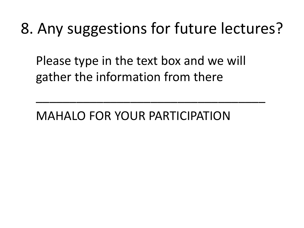#### 8. Any suggestions for future lectures?

Please type in the text box and we will gather the information from there

\_\_\_\_\_\_\_\_\_\_\_\_\_\_\_\_\_\_\_\_\_\_\_\_\_\_\_\_\_\_\_\_\_\_

MAHALO FOR YOUR PARTICIPATION